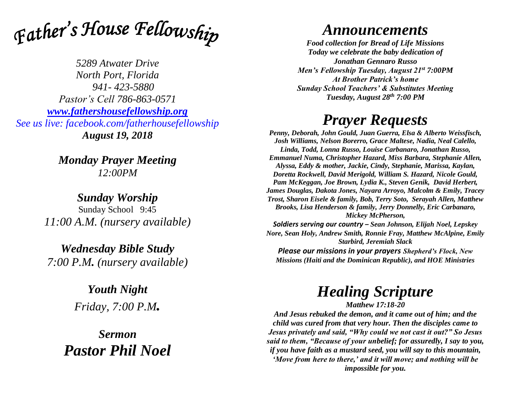

*5289 Atwater Drive North Port, Florida 941- 423-5880 Pastor's Cell 786-863-0571 [www.fathershousefellowship.org](http://www.fathershousefellowship.org/) See us live: facebook.com/fatherhousefellowship August 19, 2018*

> *Monday Prayer Meeting 12:00PM*

*Sunday Worship* Sunday School 9:45 *11:00 A.M. (nursery available)*

*Wednesday Bible Study 7:00 P.M. (nursery available)*

> *Youth Night Friday, 7:00 P.M.*

*Sermon Pastor Phil Noel*

## *Announcements*

*Food collection for Bread of Life Missions Today we celebrate the baby dedication of Jonathan Gennaro Russo Men's Fellowship Tuesday, August 21st 7:00PM At Brother Patrick's home Sunday School Teachers' & Substitutes Meeting Tuesday, August 28th 7:00 PM*

## *Prayer Requests*

*Penny, Deborah, John Gould, Juan Guerra, Elsa & Alberto Weissfisch, Josh Williams, Nelson Borerro, Grace Maltese, Nadia, Neal Calello, Linda, Todd, Lonna Russo, Louise Carbanaro, Jonathan Russo, Emmanuel Numa, Christopher Hazard, Miss Barbara, Stephanie Allen, Alyssa, Eddy & mother, Jackie, Cindy, Stephanie, Marissa, Kaylan, Doretta Rockwell, David Merigold, William S. Hazard, Nicole Gould, Pam McKeggan, Joe Brown, Lydia K., Steven Genik, David Herbert, James Douglas, Dakota Jones, Nayara Arroyo, Malcolm & Emily, Tracey Trost, Sharon Eisele & family, Bob, Terry Soto, Serayah Allen, Matthew Brooks, Lisa Henderson & family, Jerry Donnelly, Eric Carbanaro, Mickey McPherson,* 

*Soldiers serving our country – Sean Johnson, Elijah Noel, Lepskey Nore, Sean Holy, Andrew Smith, Ronnie Fray, Matthew McAlpine, Emily Starbird, Jeremiah Slack*

*Please our missions in your prayers Shepherd's Flock, New Missions (Haiti and the Dominican Republic), and HOE Ministries*

## *Healing Scripture*

*Matthew 17:18-20*

*And Jesus rebuked the demon, and it came out of him; and the child was cured from that very hour. Then the disciples came to Jesus privately and said, "Why could we not cast it out?" So Jesus said to them, "Because of your unbelief; for assuredly, I say to you, if you have faith as a mustard seed, you will say to this mountain, 'Move from here to there,' and it will move; and nothing will be impossible for you.*